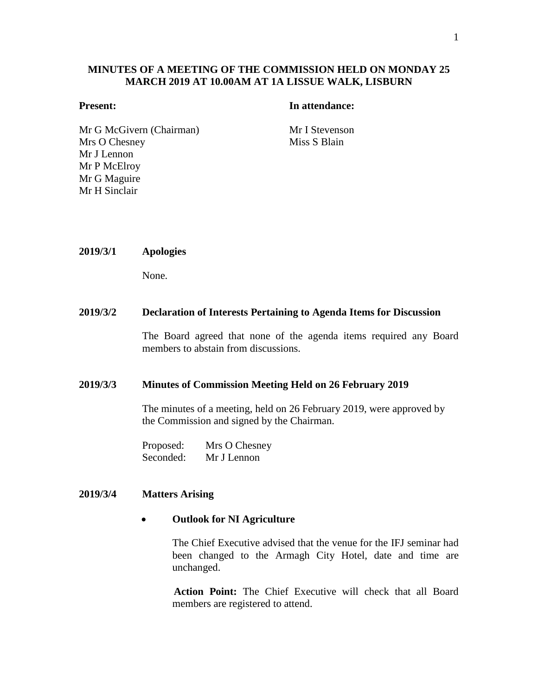## **MINUTES OF A MEETING OF THE COMMISSION HELD ON MONDAY 25 MARCH 2019 AT 10.00AM AT 1A LISSUE WALK, LISBURN**

#### **Present: In attendance:**

Mr G McGivern (Chairman) Mr I Stevenson Mrs O Chesney Mr J Lennon Mr P McElroy Mr G Maguire Mr H Sinclair

Miss S Blain

**2019/3/1 Apologies**

None.

#### **2019/3/2 Declaration of Interests Pertaining to Agenda Items for Discussion**

The Board agreed that none of the agenda items required any Board members to abstain from discussions.

#### **2019/3/3 Minutes of Commission Meeting Held on 26 February 2019**

The minutes of a meeting, held on 26 February 2019, were approved by the Commission and signed by the Chairman.

Proposed: Mrs O Chesney Seconded: Mr J Lennon

#### **2019/3/4 Matters Arising**

#### **Outlook for NI Agriculture**

The Chief Executive advised that the venue for the IFJ seminar had been changed to the Armagh City Hotel, date and time are unchanged.

**Action Point:** The Chief Executive will check that all Board members are registered to attend.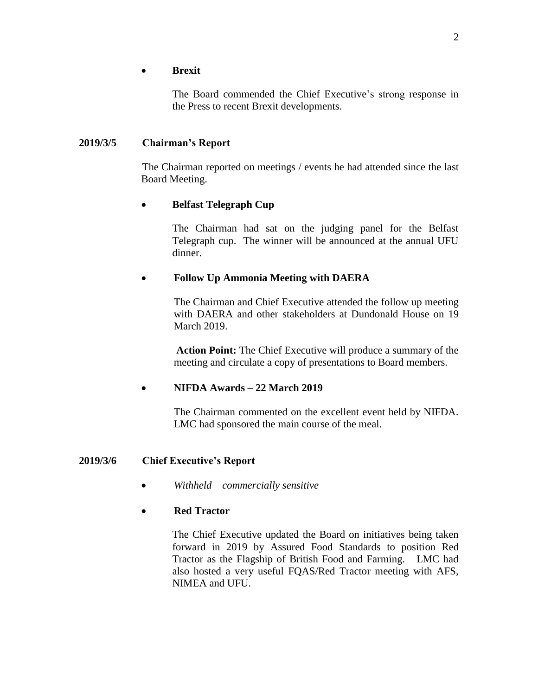## **Brexit**

The Board commended the Chief Executive's strong response in the Press to recent Brexit developments.

# **2019/3/5 Chairman's Report**

The Chairman reported on meetings / events he had attended since the last Board Meeting.

# **Belfast Telegraph Cup**

The Chairman had sat on the judging panel for the Belfast Telegraph cup. The winner will be announced at the annual UFU dinner.

# **Follow Up Ammonia Meeting with DAERA**

The Chairman and Chief Executive attended the follow up meeting with DAERA and other stakeholders at Dundonald House on 19 March 2019.

**Action Point:** The Chief Executive will produce a summary of the meeting and circulate a copy of presentations to Board members.

# **NIFDA Awards – 22 March 2019**

The Chairman commented on the excellent event held by NIFDA. LMC had sponsored the main course of the meal.

# **2019/3/6 Chief Executive's Report**

*Withheld – commercially sensitive*

## **Red Tractor**

The Chief Executive updated the Board on initiatives being taken forward in 2019 by Assured Food Standards to position Red Tractor as the Flagship of British Food and Farming. LMC had also hosted a very useful FQAS/Red Tractor meeting with AFS, NIMEA and UFU.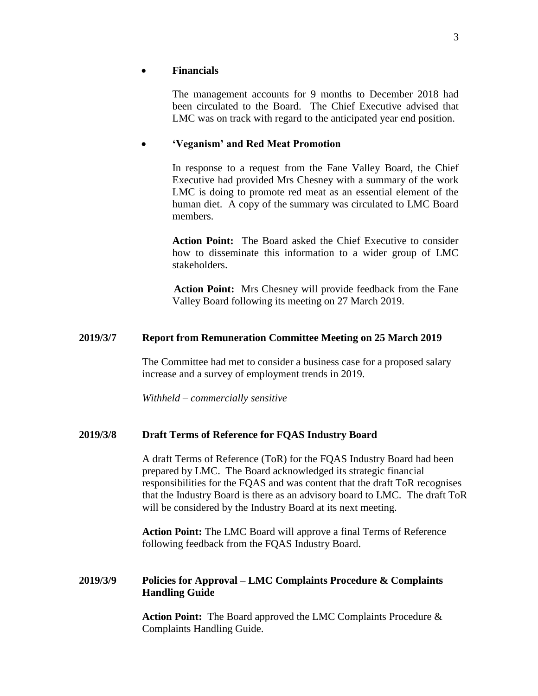## **Financials**

The management accounts for 9 months to December 2018 had been circulated to the Board. The Chief Executive advised that LMC was on track with regard to the anticipated year end position.

## **'Veganism' and Red Meat Promotion**

In response to a request from the Fane Valley Board, the Chief Executive had provided Mrs Chesney with a summary of the work LMC is doing to promote red meat as an essential element of the human diet. A copy of the summary was circulated to LMC Board members.

**Action Point:** The Board asked the Chief Executive to consider how to disseminate this information to a wider group of LMC stakeholders.

**Action Point:** Mrs Chesney will provide feedback from the Fane Valley Board following its meeting on 27 March 2019.

## **2019/3/7 Report from Remuneration Committee Meeting on 25 March 2019**

The Committee had met to consider a business case for a proposed salary increase and a survey of employment trends in 2019.

*Withheld – commercially sensitive*

## **2019/3/8 Draft Terms of Reference for FQAS Industry Board**

A draft Terms of Reference (ToR) for the FQAS Industry Board had been prepared by LMC. The Board acknowledged its strategic financial responsibilities for the FQAS and was content that the draft ToR recognises that the Industry Board is there as an advisory board to LMC. The draft ToR will be considered by the Industry Board at its next meeting.

**Action Point:** The LMC Board will approve a final Terms of Reference following feedback from the FQAS Industry Board.

## **2019/3/9 Policies for Approval – LMC Complaints Procedure & Complaints Handling Guide**

**Action Point:** The Board approved the LMC Complaints Procedure & Complaints Handling Guide.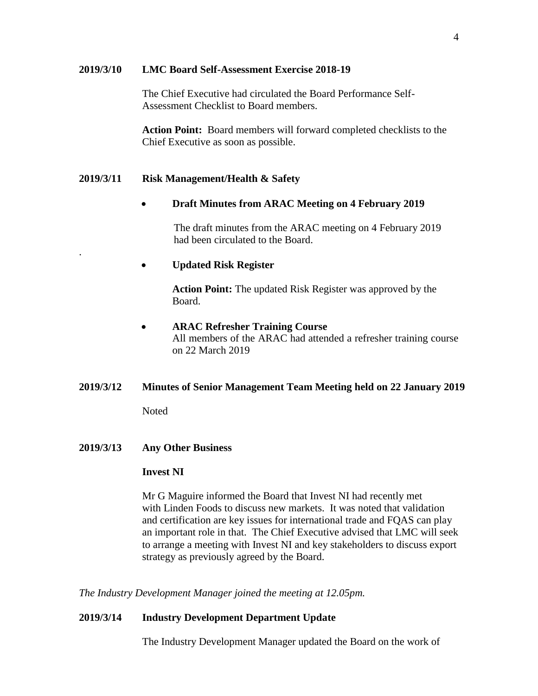#### **2019/3/10 LMC Board Self-Assessment Exercise 2018-19**

The Chief Executive had circulated the Board Performance Self-Assessment Checklist to Board members.

**Action Point:** Board members will forward completed checklists to the Chief Executive as soon as possible.

## **2019/3/11 Risk Management/Health & Safety**

## **Draft Minutes from ARAC Meeting on 4 February 2019**

The draft minutes from the ARAC meeting on 4 February 2019 had been circulated to the Board.

## **Updated Risk Register**

**Action Point:** The updated Risk Register was approved by the Board.

## **ARAC Refresher Training Course**

All members of the ARAC had attended a refresher training course on 22 March 2019

## **2019/3/12 Minutes of Senior Management Team Meeting held on 22 January 2019**

**Noted** 

.

## **2019/3/13 Any Other Business**

## **Invest NI**

Mr G Maguire informed the Board that Invest NI had recently met with Linden Foods to discuss new markets. It was noted that validation and certification are key issues for international trade and FQAS can play an important role in that. The Chief Executive advised that LMC will seek to arrange a meeting with Invest NI and key stakeholders to discuss export strategy as previously agreed by the Board.

*The Industry Development Manager joined the meeting at 12.05pm.*

## **2019/3/14 Industry Development Department Update**

The Industry Development Manager updated the Board on the work of